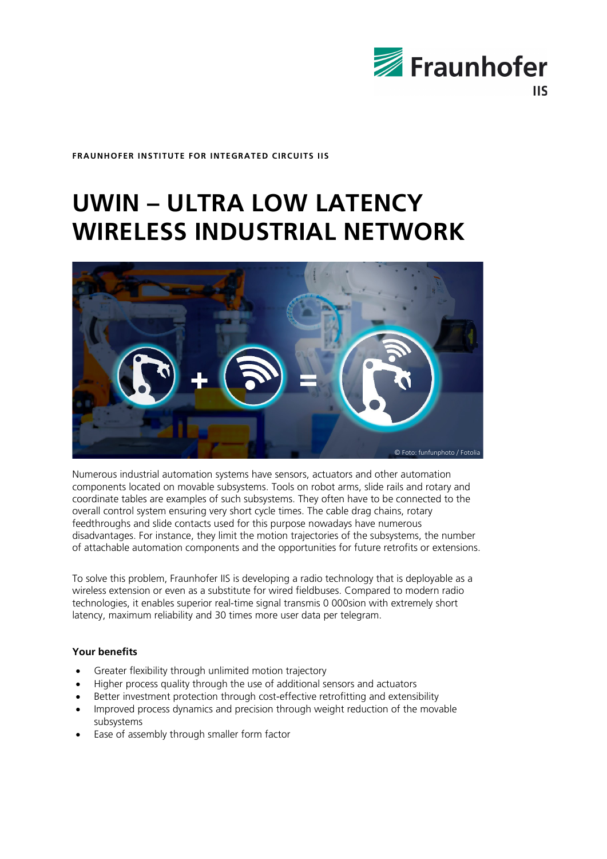

**FRAUNHOFER INSTITUTE FOR INTEGRATED CIRCUITS IIS**

# **UWIN – ULTRA LOW LATENCY WIRELESS INDUSTRIAL NETWORK**



Numerous industrial automation systems have sensors, actuators and other automation components located on movable subsystems. Tools on robot arms, slide rails and rotary and coordinate tables are examples of such subsystems. They often have to be connected to the overall control system ensuring very short cycle times. The cable drag chains, rotary feedthroughs and slide contacts used for this purpose nowadays have numerous disadvantages. For instance, they limit the motion trajectories of the subsystems, the number of attachable automation components and the opportunities for future retrofits or extensions.

To solve this problem, Fraunhofer IIS is developing a radio technology that is deployable as a wireless extension or even as a substitute for wired fieldbuses. Compared to modern radio technologies, it enables superior real-time signal transmis 0 000sion with extremely short latency, maximum reliability and 30 times more user data per telegram.

# **Your benefits**

- Greater flexibility through unlimited motion trajectory
- Higher process quality through the use of additional sensors and actuators
- Better investment protection through cost-effective retrofitting and extensibility
- Improved process dynamics and precision through weight reduction of the movable subsystems
- Ease of assembly through smaller form factor